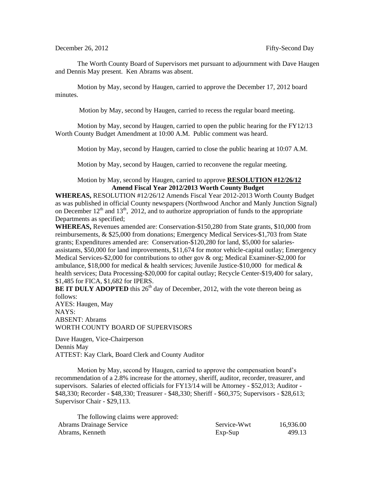The Worth County Board of Supervisors met pursuant to adjournment with Dave Haugen and Dennis May present. Ken Abrams was absent.

Motion by May, second by Haugen, carried to approve the December 17, 2012 board minutes.

Motion by May, second by Haugen, carried to recess the regular board meeting.

Motion by May, second by Haugen, carried to open the public hearing for the FY12/13 Worth County Budget Amendment at 10:00 A.M. Public comment was heard.

Motion by May, second by Haugen, carried to close the public hearing at 10:07 A.M.

Motion by May, second by Haugen, carried to reconvene the regular meeting.

## Motion by May, second by Haugen, carried to approve **RESOLUTION #12/26/12 Amend Fiscal Year 2012/2013 Worth County Budget**

**WHEREAS,** RESOLUTION #12/26/12 Amends Fiscal Year 2012-2013 Worth County Budget as was published in official County newspapers (Northwood Anchor and Manly Junction Signal) on December  $12<sup>th</sup>$  and  $13<sup>th</sup>$ , 2012, and to authorize appropriation of funds to the appropriate Departments as specified;

**WHEREAS,** Revenues amended are: Conservation-\$150,280 from State grants, \$10,000 from reimbursements, & \$25,000 from donations; Emergency Medical Services-\$1,703 from State grants; Expenditures amended are: Conservation-\$120,280 for land, \$5,000 for salariesassistants, \$50,000 for land improvements, \$11,674 for motor vehicle-capital outlay; Emergency Medical Services-\$2,000 for contributions to other gov & org; Medical Examiner-\$2,000 for ambulance, \$18,000 for medical & health services; Juvenile Justice-\$10,000 for medical & health services; Data Processing-\$20,000 for capital outlay; Recycle Center-\$19,400 for salary, \$1,485 for FICA, \$1,682 for IPERS.

**BE IT DULY ADOPTED** this  $26<sup>th</sup>$  day of December, 2012, with the vote thereon being as follows:

AYES: Haugen, May NAYS: ABSENT: Abrams WORTH COUNTY BOARD OF SUPERVISORS

Dave Haugen, Vice-Chairperson Dennis May ATTEST: Kay Clark, Board Clerk and County Auditor

Motion by May, second by Haugen, carried to approve the compensation board's recommendation of a 2.8% increase for the attorney, sheriff, auditor, recorder, treasurer, and supervisors. Salaries of elected officials for FY13/14 will be Attorney - \$52,013; Auditor - \$48,330; Recorder - \$48,330; Treasurer - \$48,330; Sheriff - \$60,375; Supervisors - \$28,613; Supervisor Chair - \$29,113.

| The following claims were approved: |             |           |
|-------------------------------------|-------------|-----------|
| <b>Abrams Drainage Service</b>      | Service-Wwt | 16,936.00 |
| Abrams, Kenneth                     | $Exp-Sup$   | 499.13    |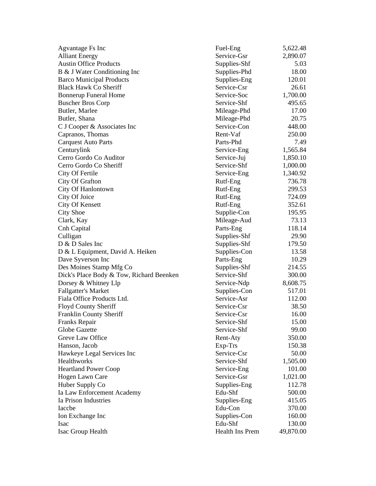| Agvantage Fs Inc                         | Fuel-Eng        | 5,622.48  |
|------------------------------------------|-----------------|-----------|
| <b>Alliant Energy</b>                    | Service-Gsr     | 2,890.07  |
| <b>Austin Office Products</b>            | Supplies-Shf    | 5.03      |
| B & J Water Conditioning Inc             | Supplies-Phd    | 18.00     |
| <b>Barco Municipal Products</b>          | Supplies-Eng    | 120.01    |
| <b>Black Hawk Co Sheriff</b>             | Service-Csr     | 26.61     |
| <b>Bonnerup Funeral Home</b>             | Service-Soc     | 1,700.00  |
| <b>Buscher Bros Corp</b>                 | Service-Shf     | 495.65    |
| Butler, Marlee                           | Mileage-Phd     | 17.00     |
| Butler, Shana                            | Mileage-Phd     | 20.75     |
| C J Cooper & Associates Inc              | Service-Con     | 448.00    |
| Capranos, Thomas                         | Rent-Vaf        | 250.00    |
| <b>Carquest Auto Parts</b>               | Parts-Phd       | 7.49      |
| Centurylink                              | Service-Eng     | 1,565.84  |
| Cerro Gordo Co Auditor                   | Service-Juj     | 1,850.10  |
| Cerro Gordo Co Sheriff                   | Service-Shf     | 1,000.00  |
| City Of Fertile                          | Service-Eng     | 1,340.92  |
| City Of Grafton                          | Rutf-Eng        | 736.78    |
| City Of Hanlontown                       | Rutf-Eng        | 299.53    |
| City Of Joice                            | Rutf-Eng        | 724.09    |
| City Of Kensett                          | Rutf-Eng        | 352.61    |
| <b>City Shoe</b>                         | Supplie-Con     | 195.95    |
| Clark, Kay                               | Mileage-Aud     | 73.13     |
| Cnh Capital                              | Parts-Eng       | 118.14    |
| Culligan                                 | Supplies-Shf    | 29.90     |
| D & D Sales Inc                          | Supplies-Shf    | 179.50    |
| D & L Equipment, David A. Heiken         | Supplies-Con    | 13.58     |
| Dave Syverson Inc                        | Parts-Eng       | 10.29     |
| Des Moines Stamp Mfg Co                  | Supplies-Shf    | 214.55    |
| Dick's Place Body & Tow, Richard Beenken | Service-Shf     | 300.00    |
| Dorsey & Whitney Llp                     | Service-Ndp     | 8,608.75  |
| <b>Fallgatter's Market</b>               | Supplies-Con    | 517.01    |
| Fiala Office Products Ltd.               | Service-Asr     | 112.00    |
| Floyd County Sheriff                     | Service-Csr     | 38.50     |
| Franklin County Sheriff                  | Service-Csr     | 16.00     |
| Franks Repair                            | Service-Shf     | 15.00     |
| Globe Gazette                            | Service-Shf     | 99.00     |
| Greve Law Office                         | Rent-Aty        | 350.00    |
| Hanson, Jacob                            | Exp-Trs         | 150.38    |
| Hawkeye Legal Services Inc               | Service-Csr     | 50.00     |
| Healthworks                              | Service-Shf     | 1,505.00  |
| <b>Heartland Power Coop</b>              | Service-Eng     | 101.00    |
| Hogen Lawn Care                          | Service-Gsr     | 1,021.00  |
| Huber Supply Co                          | Supplies-Eng    | 112.78    |
| Ia Law Enforcement Academy               | Edu-Shf         | 500.00    |
| Ia Prison Industries                     | Supplies-Eng    | 415.05    |
| Iaccbe                                   | Edu-Con         | 370.00    |
| Ion Exchange Inc                         | Supplies-Con    | 160.00    |
| <b>Isac</b>                              | Edu-Shf         | 130.00    |
| Isac Group Health                        | Health Ins Prem | 49,870.00 |
|                                          |                 |           |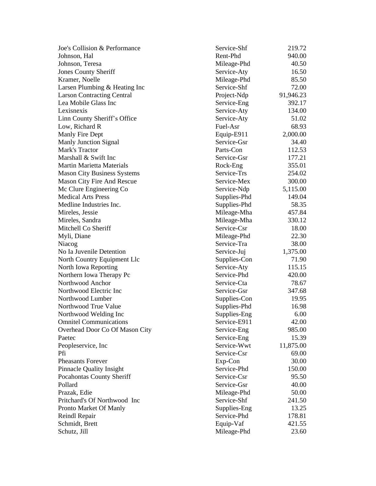| Joe's Collision & Performance      | Service-Shf  | 219.72    |
|------------------------------------|--------------|-----------|
| Johnson, Hal                       | Rent-Phd     | 940.00    |
| Johnson, Teresa                    | Mileage-Phd  | 40.50     |
| <b>Jones County Sheriff</b>        | Service-Aty  | 16.50     |
| Kramer, Noelle                     | Mileage-Phd  | 85.50     |
| Larsen Plumbing & Heating Inc      | Service-Shf  | 72.00     |
| <b>Larson Contracting Central</b>  | Project-Ndp  | 91,946.23 |
| Lea Mobile Glass Inc               | Service-Eng  | 392.17    |
| Lexisnexis                         | Service-Aty  | 134.00    |
| Linn County Sheriff's Office       | Service-Aty  | 51.02     |
| Low, Richard R                     | Fuel-Asr     | 68.93     |
| Manly Fire Dept                    | Equip-E911   | 2,000.00  |
| <b>Manly Junction Signal</b>       | Service-Gsr  | 34.40     |
| Mark's Tractor                     | Parts-Con    | 112.53    |
| Marshall & Swift Inc               | Service-Gsr  | 177.21    |
| <b>Martin Marietta Materials</b>   | Rock-Eng     | 355.01    |
| <b>Mason City Business Systems</b> | Service-Trs  | 254.02    |
| Mason City Fire And Rescue         | Service-Mex  | 300.00    |
| Mc Clure Engineering Co            | Service-Ndp  | 5,115.00  |
| <b>Medical Arts Press</b>          | Supplies-Phd | 149.04    |
| Medline Industries Inc.            | Supplies-Phd | 58.35     |
| Mireles, Jessie                    | Mileage-Mha  | 457.84    |
| Mireles, Sandra                    | Mileage-Mha  | 330.12    |
| Mitchell Co Sheriff                | Service-Csr  | 18.00     |
| Myli, Diane                        | Mileage-Phd  | 22.30     |
| Niacog                             | Service-Tra  | 38.00     |
| No Ia Juvenile Detention           | Service-Juj  | 1,375.00  |
| North Country Equipment Llc        | Supplies-Con | 71.90     |
| North Iowa Reporting               | Service-Aty  | 115.15    |
| Northern Iowa Therapy Pc           | Service-Phd  | 420.00    |
| Northwood Anchor                   | Service-Cta  | 78.67     |
| Northwood Electric Inc             | Service-Gsr  | 347.68    |
| Northwood Lumber                   | Supplies-Con | 19.95     |
| Northwood True Value               | Supplies-Phd | 16.98     |
| Northwood Welding Inc              | Supplies-Eng | 6.00      |
| <b>Omnitel Communications</b>      | Service-E911 | 42.00     |
| Overhead Door Co Of Mason City     | Service-Eng  | 985.00    |
| Paetec                             | Service-Eng  | 15.39     |
| Peopleservice, Inc.                | Service-Wwt  | 11,875.00 |
| Pfi                                | Service-Csr  | 69.00     |
| <b>Pheasants Forever</b>           | Exp-Con      | 30.00     |
| <b>Pinnacle Quality Insight</b>    | Service-Phd  | 150.00    |
| <b>Pocahontas County Sheriff</b>   | Service-Csr  | 95.50     |
| Pollard                            | Service-Gsr  | 40.00     |
| Prazak, Edie                       | Mileage-Phd  | 50.00     |
| Pritchard's Of Northwood Inc       | Service-Shf  | 241.50    |
| Pronto Market Of Manly             | Supplies-Eng | 13.25     |
| Reindl Repair                      | Service-Phd  | 178.81    |
| Schmidt, Brett                     | Equip-Vaf    | 421.55    |
| Schutz, Jill                       | Mileage-Phd  | 23.60     |
|                                    |              |           |